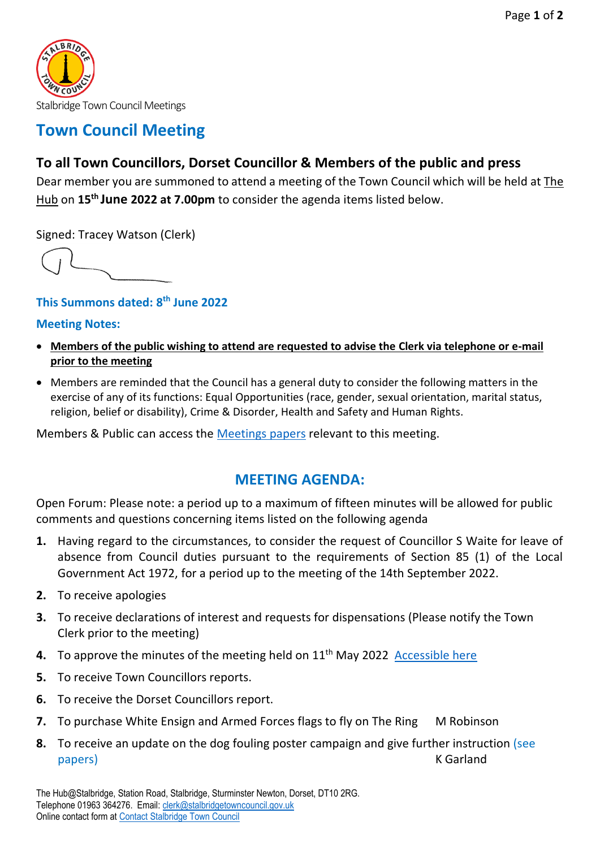

## **Town Council Meeting**

### **To all Town Councillors, Dorset Councillor & Members of the public and press**

Dear member you are summoned to attend a meeting of the Town Council which will be held at The Hub on **15 th June 2022 at 7.00pm** to consider the agenda items listed below.

Signed: Tracey Watson (Clerk)

### **This Summons dated: 8 th June 2022**

#### **Meeting Notes:**

- **Members of the public wishing to attend are requested to advise the Clerk via telephone or e-mail prior to the meeting**
- Members are reminded that the Council has a general duty to consider the following matters in the exercise of any of its functions: Equal Opportunities (race, gender, sexual orientation, marital status, religion, belief or disability), Crime & Disorder, Health and Safety and Human Rights.

Members & Public can access the [Meetings papers](https://www.stalbridgetowncouncil.gov.uk/meetings-papers/town-council-meeting-150622) relevant to this meeting.

# **MEETING AGENDA:**

Open Forum: Please note: a period up to a maximum of fifteen minutes will be allowed for public comments and questions concerning items listed on the following agenda

- **1.** Having regard to the circumstances, to consider the request of Councillor S Waite for leave of absence from Council duties pursuant to the requirements of Section 85 (1) of the Local Government Act 1972, for a period up to the meeting of the 14th September 2022.
- **2.** To receive apologies
- **3.** To receive declarations of interest and requests for dispensations (Please notify the Town Clerk prior to the meeting)
- **4.** To approve the minutes of the meeting held on 11<sup>th</sup> May 2022 Accessible here
- **5.** To receive Town Councillors reports.
- **6.** To receive the Dorset Councillors report.
- **7.** To purchase White Ensign and Armed Forces flags to fly on The Ring M Robinson
- **8.** To receive an update on the dog fouling poster campaign and give further instruction (see papers) and the control of the control of the control of the control of the control of the control of the control of the control of the control of the control of the control of the control of the control of the control of